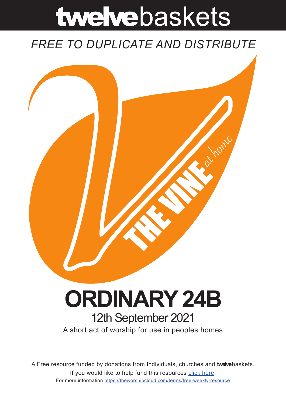# twelvebaskets

### *FREE TO DUPLICATE AND DISTRIBUTE*



## **ORDINARY 24B** 12th September 2021

A short act of worship for use in peoples homes

A Free resource funded by donations from Individuals, churches and **twelve**baskets. If you would like to help fund this resources click here. For more information https://theworshipcloud.com/terms/free-weekly-resource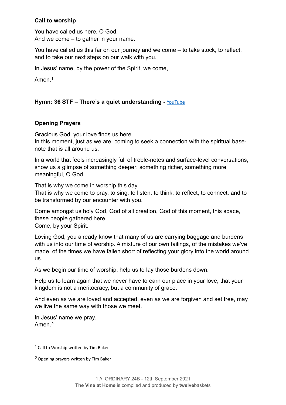#### **Call to worship**

You have called us here, O God, And we come – to gather in your name.

You have called us this far on our journey and we come – to take stock, to reflect, and to take our next steps on our walk with you.

In Jesus' name, by the power of the Spirit, we come,

<span id="page-1-2"></span>Amen<sup>[1](#page-1-0)</sup>

#### Hymn: 36 STF - There's a quiet understanding - **[YouTube](https://www.youtube.com/watch?v=DTfESpt74Ig)**

#### **Opening Prayers**

Gracious God, your love finds us here.

In this moment, just as we are, coming to seek a connection with the spiritual basenote that is all around us.

In a world that feels increasingly full of treble-notes and surface-level conversations, show us a glimpse of something deeper; something richer, something more meaningful, O God.

That is why we come in worship this day.

That is why we come to pray, to sing, to listen, to think, to reflect, to connect, and to be transformed by our encounter with you.

Come amongst us holy God, God of all creation, God of this moment, this space, these people gathered here. Come, by your Spirit.

Loving God, you already know that many of us are carrying baggage and burdens with us into our time of worship. A mixture of our own failings, of the mistakes we've made, of the times we have fallen short of reflecting your glory into the world around us.

As we begin our time of worship, help us to lay those burdens down.

Help us to learn again that we never have to earn our place in your love, that your kingdom is not a meritocracy, but a community of grace.

And even as we are loved and accepted, even as we are forgiven and set free, may we live the same way with those we meet.

<span id="page-1-3"></span>In Jesus' name we pray. Amen.*[2](#page-1-1)*

<span id="page-1-0"></span> $1$  Call to Worship written by Tim Baker

<span id="page-1-1"></span>Opening prayers written by Tim Baker *[2](#page-1-3)*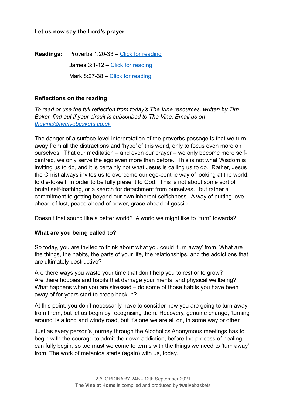#### **Let us now say the Lord's prayer**

**Readings:** Proverbs 1:20-33 – [Click for reading](https://www.biblegateway.com/passage/?search=Proverbs%25201:20-33&version=NRSV)

James 3:1-12 – [Click for reading](https://www.biblegateway.com/passage/?search=James+3:1-12+&version=NRSV)

Mark 8:27-38 – [Click for reading](https://www.biblegateway.com/passage/?search=Mark+8:27-38+&version=NRSV)

#### **Reflections on the reading**

*To read or use the full reflection from today's The Vine resources, written by Tim Baker, find out if your circuit is subscribed to The Vine. Email us on [thevine@twelvebaskets.co.uk](mailto:thevine@twelvebaskets.co.uk)*

The danger of a surface-level interpretation of the proverbs passage is that we turn away from all the distractions and 'hype' of this world, only to focus even more on ourselves. That our meditation – and even our prayer – we only become more selfcentred, we only serve the ego even more than before. This is not what Wisdom is inviting us to do, and it is certainly not what Jesus is calling us to do. Rather, Jesus the Christ always invites us to overcome our ego-centric way of looking at the world, to die-to-self, in order to be fully present to God. This is not about some sort of brutal self-loathing, or a search for detachment from ourselves…but rather a commitment to getting beyond our own inherent selfishness. A way of putting love ahead of lust, peace ahead of power, grace ahead of gossip.

Doesn't that sound like a better world? A world we might like to "turn" towards?

#### **What are you being called to?**

So today, you are invited to think about what you could 'turn away' from. What are the things, the habits, the parts of your life, the relationships, and the addictions that are ultimately destructive?

Are there ways you waste your time that don't help you to rest or to grow? Are there hobbies and habits that damage your mental and physical wellbeing? What happens when you are stressed – do some of those habits you have been away of for years start to creep back in?

At this point, you don't necessarily have to consider how you are going to turn away from them, but let us begin by recognising them. Recovery, genuine change, 'turning around' is a long and windy road, but it's one we are all on, in some way or other.

Just as every person's journey through the Alcoholics Anonymous meetings has to begin with the courage to admit their own addiction, before the process of healing can fully begin, so too must we come to terms with the things we need to 'turn away' from. The work of metanioa starts (again) with us, today.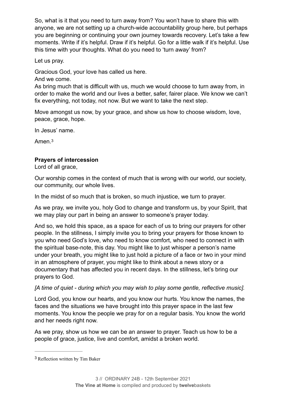So, what is it that you need to turn away from? You won't have to share this with anyone, we are not setting up a church-wide accountability group here, but perhaps you are beginning or continuing your own journey towards recovery. Let's take a few moments. Write if it's helpful. Draw if it's helpful. Go for a little walk if it's helpful. Use this time with your thoughts. What do you need to 'turn away' from?

Let us pray.

Gracious God, your love has called us here.

And we come.

As bring much that is difficult with us, much we would choose to turn away from, in order to make the world and our lives a better, safer, fairer place. We know we can't fix everything, not today, not now. But we want to take the next step.

Move amongst us now, by your grace, and show us how to choose wisdom, love, peace, grace, hope.

In Jesus' name.

<span id="page-3-1"></span>Amen.[3](#page-3-0)

#### **Prayers of intercession**

Lord of all grace,

Our worship comes in the context of much that is wrong with our world, our society, our community, our whole lives.

In the midst of so much that is broken, so much injustice, we turn to prayer.

As we pray, we invite you, holy God to change and transform us, by your Spirit, that we may play our part in being an answer to someone's prayer today.

And so, we hold this space, as a space for each of us to bring our prayers for other people. In the stillness, I simply invite you to bring your prayers for those known to you who need God's love, who need to know comfort, who need to connect in with the spiritual base-note, this day. You might like to just whisper a person's name under your breath, you might like to just hold a picture of a face or two in your mind in an atmosphere of prayer, you might like to think about a news story or a documentary that has affected you in recent days. In the stillness, let's bring our prayers to God.

#### *[A time of quiet - during which you may wish to play some gentle, reflective music].*

Lord God, you know our hearts, and you know our hurts. You know the names, the faces and the situations we have brought into this prayer space in the last few moments. You know the people we pray for on a regular basis. You know the world and her needs right now.

As we pray, show us how we can be an answer to prayer. Teach us how to be a people of grace, justice, live and comfort, amidst a broken world.

<span id="page-3-0"></span><sup>&</sup>lt;sup>[3](#page-3-1)</sup> Reflection written by Tim Baker